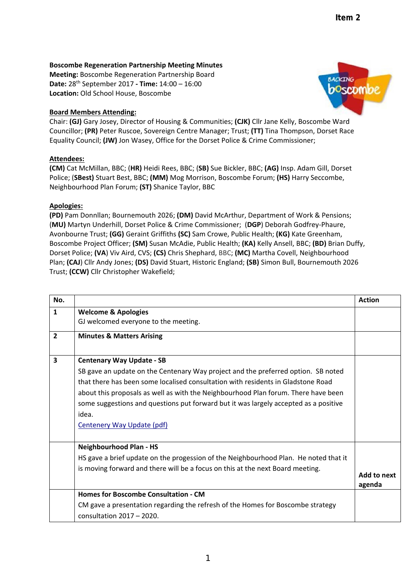## **Boscombe Regeneration Partnership Meeting Minutes**

**Meeting:** Boscombe Regeneration Partnership Board **Date:** 28th September 2017 **‐ Time:** 14:00 – 16:00 **Location:** Old School House, Boscombe

## **Board Members Attending:**

Chair: **(GJ)** Gary Josey, Director of Housing & Communities; **(CJK)** Cllr Jane Kelly, Boscombe Ward Councillor; **(PR)** Peter Ruscoe, Sovereign Centre Manager; Trust; **(TT)** Tina Thompson, Dorset Race Equality Council; **(JW)** Jon Wasey, Office for the Dorset Police & Crime Commissioner;

## **Attendees:**

**(CM)** Cat McMillan, BBC; (**HR)** Heidi Rees, BBC; (**SB)** Sue Bickler, BBC; **(AG)** Insp. Adam Gill, Dorset Police; (**SBest)** Stuart Best, BBC; **(MM)** Mog Morrison, Boscombe Forum; **(HS)** Harry Seccombe, Neighbourhood Plan Forum; **(ST)** Shanice Taylor, BBC

## **Apologies:**

**(PD)** Pam Donnllan; Bournemouth 2026; **(DM)** David McArthur, Department of Work & Pensions; (**MU)** Martyn Underhill, Dorset Police & Crime Commissioner; (**DGP**) Deborah Godfrey‐Phaure, Avonbourne Trust; **(GG)** Geraint Griffiths **(SC)** Sam Crowe, Public Health; **(KG)** Kate Greenham, Boscombe Project Officer; **(SM)** Susan McAdie, Public Health; **(KA)** Kelly Ansell, BBC; **(BD)** Brian Duffy, Dorset Police; **(VA**) Viv Aird, CVS; **(CS)** Chris Shephard, BBC; **(MC)** Martha Covell, Neighbourhood Plan; **(CAJ**) Cllr Andy Jones; **(DS)** David Stuart, Historic England; **(SB)** Simon Bull, Bournemouth 2026 Trust; **(CCW)** Cllr Christopher Wakefield;

| No.            |                                                                                      | <b>Action</b>         |
|----------------|--------------------------------------------------------------------------------------|-----------------------|
| $\mathbf{1}$   | <b>Welcome &amp; Apologies</b>                                                       |                       |
|                | GJ welcomed everyone to the meeting.                                                 |                       |
| $\overline{2}$ | <b>Minutes &amp; Matters Arising</b>                                                 |                       |
| 3              | <b>Centenary Way Update - SB</b>                                                     |                       |
|                | SB gave an update on the Centenary Way project and the preferred option. SB noted    |                       |
|                | that there has been some localised consultation with residents in Gladstone Road     |                       |
|                | about this proposals as well as with the Neighbourhood Plan forum. There have been   |                       |
|                | some suggestions and questions put forward but it was largely accepted as a positive |                       |
|                | idea.                                                                                |                       |
|                | <b>Centenery Way Update (pdf)</b>                                                    |                       |
|                | <b>Neighbourhood Plan - HS</b>                                                       |                       |
|                | HS gave a brief update on the progession of the Neighbourhood Plan. He noted that it |                       |
|                | is moving forward and there will be a focus on this at the next Board meeting.       |                       |
|                |                                                                                      | Add to next<br>agenda |
|                | <b>Homes for Boscombe Consultation - CM</b>                                          |                       |
|                | CM gave a presentation regarding the refresh of the Homes for Boscombe strategy      |                       |
|                | consultation $2017 - 2020$ .                                                         |                       |

1

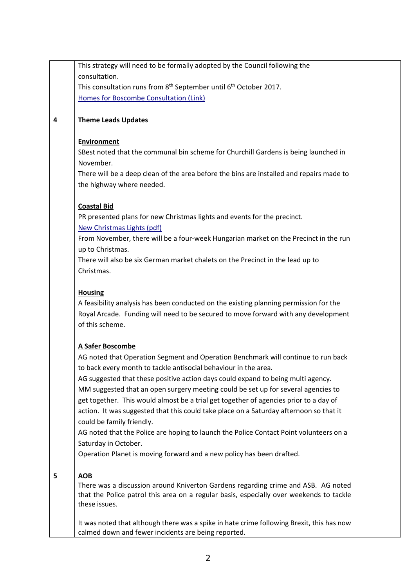|   | This strategy will need to be formally adopted by the Council following the               |  |
|---|-------------------------------------------------------------------------------------------|--|
|   | consultation.                                                                             |  |
|   | This consultation runs from 8 <sup>th</sup> September until 6 <sup>th</sup> October 2017. |  |
|   | Homes for Boscombe Consultation (Link)                                                    |  |
|   |                                                                                           |  |
| 4 | <b>Theme Leads Updates</b>                                                                |  |
|   |                                                                                           |  |
|   | <b>Environment</b>                                                                        |  |
|   | SBest noted that the communal bin scheme for Churchill Gardens is being launched in       |  |
|   | November.                                                                                 |  |
|   |                                                                                           |  |
|   | There will be a deep clean of the area before the bins are installed and repairs made to  |  |
|   | the highway where needed.                                                                 |  |
|   |                                                                                           |  |
|   | <b>Coastal Bid</b>                                                                        |  |
|   | PR presented plans for new Christmas lights and events for the precinct.                  |  |
|   | New Christmas Lights (pdf)                                                                |  |
|   | From November, there will be a four-week Hungarian market on the Precinct in the run      |  |
|   | up to Christmas.                                                                          |  |
|   | There will also be six German market chalets on the Precinct in the lead up to            |  |
|   | Christmas.                                                                                |  |
|   |                                                                                           |  |
|   | <b>Housing</b>                                                                            |  |
|   | A feasibility analysis has been conducted on the existing planning permission for the     |  |
|   | Royal Arcade. Funding will need to be secured to move forward with any development        |  |
|   | of this scheme.                                                                           |  |
|   |                                                                                           |  |
|   | A Safer Boscombe                                                                          |  |
|   | AG noted that Operation Segment and Operation Benchmark will continue to run back         |  |
|   | to back every month to tackle antisocial behaviour in the area.                           |  |
|   |                                                                                           |  |
|   | AG suggested that these positive action days could expand to being multi agency.          |  |
|   | MM suggested that an open surgery meeting could be set up for several agencies to         |  |
|   | get together. This would almost be a trial get together of agencies prior to a day of     |  |
|   | action. It was suggested that this could take place on a Saturday afternoon so that it    |  |
|   | could be family friendly.                                                                 |  |
|   | AG noted that the Police are hoping to launch the Police Contact Point volunteers on a    |  |
|   | Saturday in October.                                                                      |  |
|   | Operation Planet is moving forward and a new policy has been drafted.                     |  |
|   |                                                                                           |  |
| 5 | <b>AOB</b>                                                                                |  |
|   | There was a discussion around Kniverton Gardens regarding crime and ASB. AG noted         |  |
|   | that the Police patrol this area on a regular basis, especially over weekends to tackle   |  |
|   | these issues.                                                                             |  |
|   |                                                                                           |  |
|   | It was noted that although there was a spike in hate crime following Brexit, this has now |  |
|   | calmed down and fewer incidents are being reported.                                       |  |